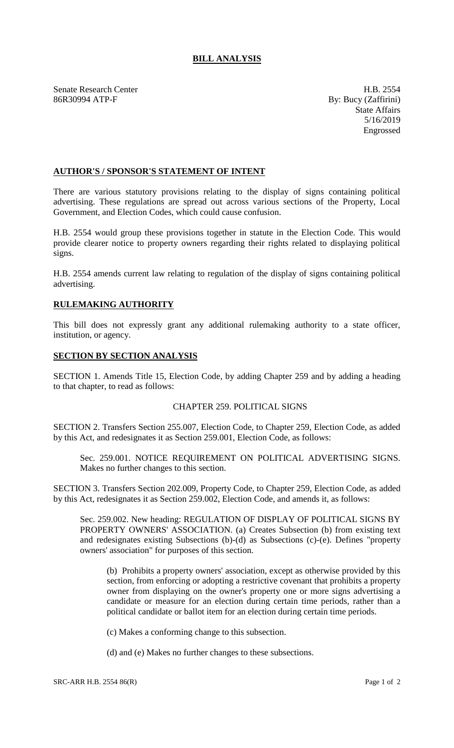# **BILL ANALYSIS**

Senate Research Center **H.B. 2554** 86R30994 ATP-F By: Bucy (Zaffirini)

State Affairs 5/16/2019 Engrossed

## **AUTHOR'S / SPONSOR'S STATEMENT OF INTENT**

There are various statutory provisions relating to the display of signs containing political advertising. These regulations are spread out across various sections of the Property, Local Government, and Election Codes, which could cause confusion.

H.B. 2554 would group these provisions together in statute in the Election Code. This would provide clearer notice to property owners regarding their rights related to displaying political signs.

H.B. 2554 amends current law relating to regulation of the display of signs containing political advertising.

## **RULEMAKING AUTHORITY**

This bill does not expressly grant any additional rulemaking authority to a state officer, institution, or agency.

## **SECTION BY SECTION ANALYSIS**

SECTION 1. Amends Title 15, Election Code, by adding Chapter 259 and by adding a heading to that chapter, to read as follows:

## CHAPTER 259. POLITICAL SIGNS

SECTION 2. Transfers Section 255.007, Election Code, to Chapter 259, Election Code, as added by this Act, and redesignates it as Section 259.001, Election Code, as follows:

Sec. 259.001. NOTICE REQUIREMENT ON POLITICAL ADVERTISING SIGNS. Makes no further changes to this section.

SECTION 3. Transfers Section 202.009, Property Code, to Chapter 259, Election Code, as added by this Act, redesignates it as Section 259.002, Election Code, and amends it, as follows:

Sec. 259.002. New heading: REGULATION OF DISPLAY OF POLITICAL SIGNS BY PROPERTY OWNERS' ASSOCIATION. (a) Creates Subsection (b) from existing text and redesignates existing Subsections (b)-(d) as Subsections (c)-(e). Defines "property owners' association" for purposes of this section.

(b) Prohibits a property owners' association, except as otherwise provided by this section, from enforcing or adopting a restrictive covenant that prohibits a property owner from displaying on the owner's property one or more signs advertising a candidate or measure for an election during certain time periods, rather than a political candidate or ballot item for an election during certain time periods.

(c) Makes a conforming change to this subsection.

(d) and (e) Makes no further changes to these subsections.